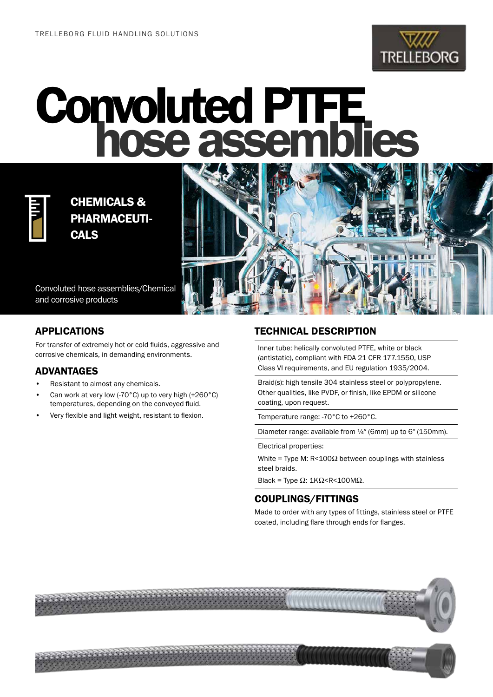

## Convoluted PTFE<br>hose assemblies



CHEMICALS & PHARMACEUTI-**CALS** 

Convoluted hose assemblies/Chemical and corrosive products



For transfer of extremely hot or cold fluids, aggressive and corrosive chemicals, in demanding environments.

## ADVANTAGES

- Resistant to almost any chemicals.
- Can work at very low (-70°C) up to very high (+260°C) temperatures, depending on the conveyed fluid.
- Very flexible and light weight, resistant to flexion.

## TECHNICAL DESCRIPTION

Inner tube: helically convoluted PTFE, white or black (antistatic), compliant with FDA 21 CFR 177.1550, USP Class VI requirements, and EU regulation 1935/2004.

Braid(s): high tensile 304 stainless steel or polypropylene. Other qualities, like PVDF, or finish, like EPDM or silicone coating, upon request.

Temperature range: -70°C to +260°C.

Diameter range: available from ¼″ (6mm) up to 6″ (150mm).

Electrical properties:

White = Type M: R<100 $\Omega$  between couplings with stainless steel braids.

Black = Type Ω: 1KΩ<R<100MΩ.

## COUPLINGS/FITTINGS

Made to order with any types of fittings, stainless steel or PTFE coated, including flare through ends for flanges.